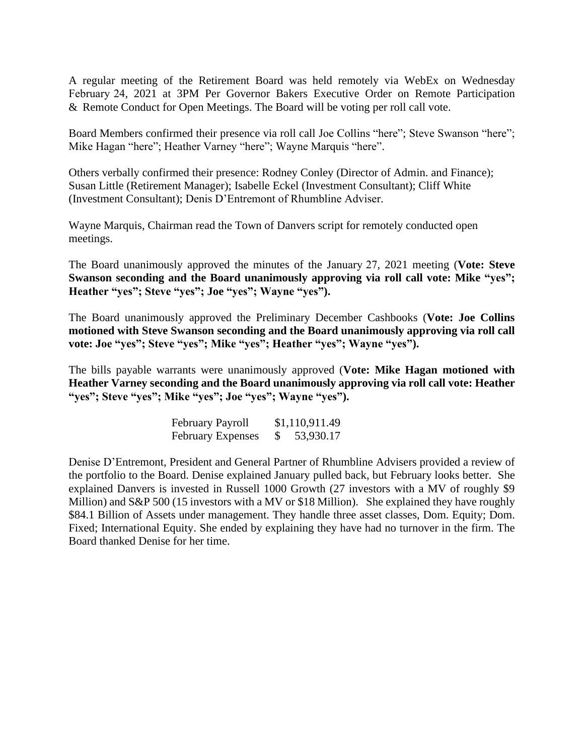A regular meeting of the Retirement Board was held remotely via WebEx on Wednesday February 24, 2021 at 3PM Per Governor Bakers Executive Order on Remote Participation & Remote Conduct for Open Meetings. The Board will be voting per roll call vote.

Board Members confirmed their presence via roll call Joe Collins "here"; Steve Swanson "here"; Mike Hagan "here"; Heather Varney "here"; Wayne Marquis "here".

Others verbally confirmed their presence: Rodney Conley (Director of Admin. and Finance); Susan Little (Retirement Manager); Isabelle Eckel (Investment Consultant); Cliff White (Investment Consultant); Denis D'Entremont of Rhumbline Adviser.

Wayne Marquis, Chairman read the Town of Danvers script for remotely conducted open meetings.

The Board unanimously approved the minutes of the January 27, 2021 meeting (**Vote: Steve Swanson seconding and the Board unanimously approving via roll call vote: Mike "yes"; Heather "yes"; Steve "yes"; Joe "yes"; Wayne "yes").** 

The Board unanimously approved the Preliminary December Cashbooks (**Vote: Joe Collins motioned with Steve Swanson seconding and the Board unanimously approving via roll call vote: Joe "yes"; Steve "yes"; Mike "yes"; Heather "yes"; Wayne "yes").** 

The bills payable warrants were unanimously approved (**Vote: Mike Hagan motioned with Heather Varney seconding and the Board unanimously approving via roll call vote: Heather "yes"; Steve "yes"; Mike "yes"; Joe "yes"; Wayne "yes").** 

| February Payroll         | \$1,110,911.49 |
|--------------------------|----------------|
| <b>February Expenses</b> | 53,930.17      |

Denise D'Entremont, President and General Partner of Rhumbline Advisers provided a review of the portfolio to the Board. Denise explained January pulled back, but February looks better. She explained Danvers is invested in Russell 1000 Growth (27 investors with a MV of roughly \$9 Million) and S&P 500 (15 investors with a MV or \$18 Million). She explained they have roughly \$84.1 Billion of Assets under management. They handle three asset classes, Dom. Equity; Dom. Fixed; International Equity. She ended by explaining they have had no turnover in the firm. The Board thanked Denise for her time.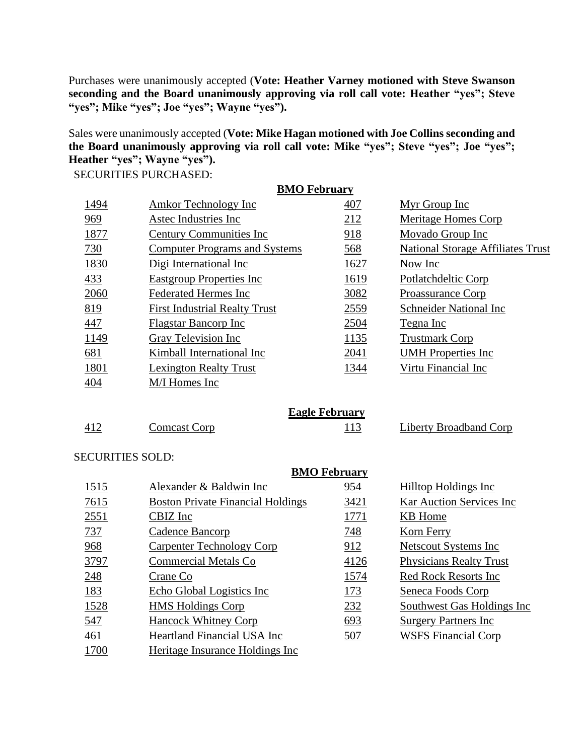Purchases were unanimously accepted (**Vote: Heather Varney motioned with Steve Swanson seconding and the Board unanimously approving via roll call vote: Heather "yes"; Steve "yes"; Mike "yes"; Joe "yes"; Wayne "yes").**

Sales were unanimously accepted (**Vote: Mike Hagan motioned with Joe Collins seconding and the Board unanimously approving via roll call vote: Mike "yes"; Steve "yes"; Joe "yes"; Heather "yes"; Wayne "yes").**

SECURITIES PURCHASED:

| <b>BMO</b> February |                                      |                       |                                          |  |  |
|---------------------|--------------------------------------|-----------------------|------------------------------------------|--|--|
| 1494                | <b>Amkor Technology Inc</b>          | 407                   | Myr Group Inc                            |  |  |
| 969                 | Astec Industries Inc                 | 212                   | Meritage Homes Corp                      |  |  |
| 1877                | <b>Century Communities Inc.</b>      | 918                   | Movado Group Inc                         |  |  |
| 730                 | <b>Computer Programs and Systems</b> | 568                   | <b>National Storage Affiliates Trust</b> |  |  |
| 1830                | Digi International Inc               | 1627                  | Now Inc                                  |  |  |
| 433                 | <b>Eastgroup Properties Inc</b>      | 1619                  | Potlatchdeltic Corp                      |  |  |
| 2060                | <b>Federated Hermes Inc</b>          | 3082                  | Proassurance Corp                        |  |  |
| 819                 | <b>First Industrial Realty Trust</b> | 2559                  | Schneider National Inc                   |  |  |
| 447                 | <b>Flagstar Bancorp Inc</b>          | 2504                  | Tegna Inc                                |  |  |
| 1149                | Gray Television Inc                  | 1135                  | <b>Trustmark Corp</b>                    |  |  |
| 681                 | Kimball International Inc            | 2041                  | <b>UMH</b> Properties Inc                |  |  |
| 1801                | <b>Lexington Realty Trust</b>        | 1344                  | Virtu Financial Inc                      |  |  |
| 404                 | M/I Homes Inc                        |                       |                                          |  |  |
|                     |                                      |                       |                                          |  |  |
|                     |                                      | <b>Eagle February</b> |                                          |  |  |
| 412                 | <b>Comcast Corp</b>                  | 113                   | Liberty Broadband Corp                   |  |  |

## SECURITIES SOLD:

|      | <b>BMO February</b>                      |      |                                |  |
|------|------------------------------------------|------|--------------------------------|--|
| 1515 | Alexander & Baldwin Inc                  | 954  | Hilltop Holdings Inc           |  |
| 7615 | <b>Boston Private Financial Holdings</b> | 3421 | Kar Auction Services Inc       |  |
| 2551 | CBIZ Inc                                 | 1771 | KB Home                        |  |
| 737  | Cadence Bancorp                          | 748  | Korn Ferry                     |  |
| 968  | Carpenter Technology Corp                | 912  | Netscout Systems Inc           |  |
| 3797 | <b>Commercial Metals Co</b>              | 4126 | <b>Physicians Realty Trust</b> |  |
| 248  | Crane Co                                 | 1574 | <b>Red Rock Resorts Inc.</b>   |  |
| 183  | Echo Global Logistics Inc                | 173  | Seneca Foods Corp              |  |
| 1528 | <b>HMS</b> Holdings Corp                 | 232  | Southwest Gas Holdings Inc     |  |
| 547  | <b>Hancock Whitney Corp</b>              | 693  | <b>Surgery Partners Inc.</b>   |  |
| 461  | <b>Heartland Financial USA Inc</b>       | 507  | <b>WSFS Financial Corp</b>     |  |
| 1700 | Heritage Insurance Holdings Inc          |      |                                |  |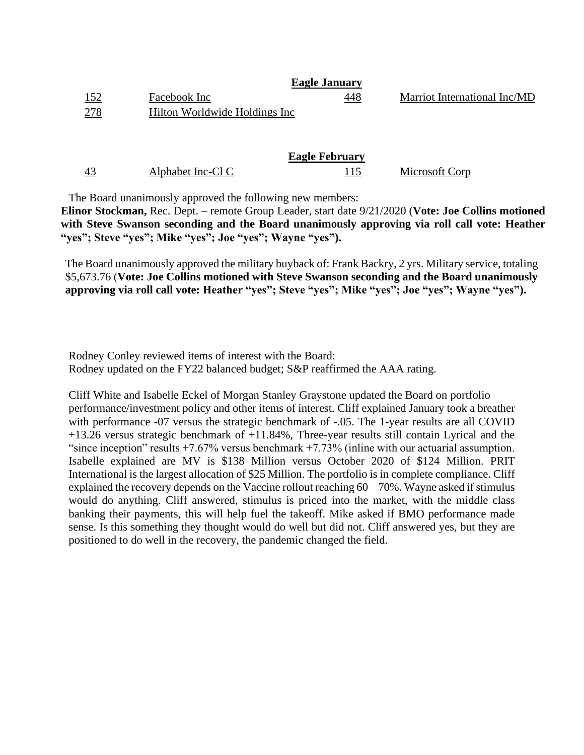| Facebook Inc                  | <u>448</u> | Marriot International Inc/MD |
|-------------------------------|------------|------------------------------|
| Hilton Worldwide Holdings Inc |            |                              |
|                               |            | <b>Eagle January</b>         |

|    | <b>Eagle February</b> |  |                |  |
|----|-----------------------|--|----------------|--|
| 43 | Alphabet Inc-Cl C     |  | Microsoft Corp |  |

The Board unanimously approved the following new members:

**Elinor Stockman,** Rec. Dept. – remote Group Leader, start date 9/21/2020 (**Vote: Joe Collins motioned with Steve Swanson seconding and the Board unanimously approving via roll call vote: Heather "yes"; Steve "yes"; Mike "yes"; Joe "yes"; Wayne "yes").**

The Board unanimously approved the military buyback of: Frank Backry, 2 yrs. Military service, totaling \$5,673.76 (**Vote: Joe Collins motioned with Steve Swanson seconding and the Board unanimously approving via roll call vote: Heather "yes"; Steve "yes"; Mike "yes"; Joe "yes"; Wayne "yes").**

Rodney Conley reviewed items of interest with the Board: Rodney updated on the FY22 balanced budget; S&P reaffirmed the AAA rating.

Cliff White and Isabelle Eckel of Morgan Stanley Graystone updated the Board on portfolio performance/investment policy and other items of interest. Cliff explained January took a breather with performance -07 versus the strategic benchmark of -.05. The 1-year results are all COVID +13.26 versus strategic benchmark of +11.84%, Three-year results still contain Lyrical and the "since inception" results  $+7.67\%$  versus benchmark  $+7.73\%$  (inline with our actuarial assumption. Isabelle explained are MV is \$138 Million versus October 2020 of \$124 Million. PRIT International is the largest allocation of \$25 Million. The portfolio is in complete compliance. Cliff explained the recovery depends on the Vaccine rollout reaching  $60 - 70\%$ . Wayne asked if stimulus would do anything. Cliff answered, stimulus is priced into the market, with the middle class banking their payments, this will help fuel the takeoff. Mike asked if BMO performance made sense. Is this something they thought would do well but did not. Cliff answered yes, but they are positioned to do well in the recovery, the pandemic changed the field.